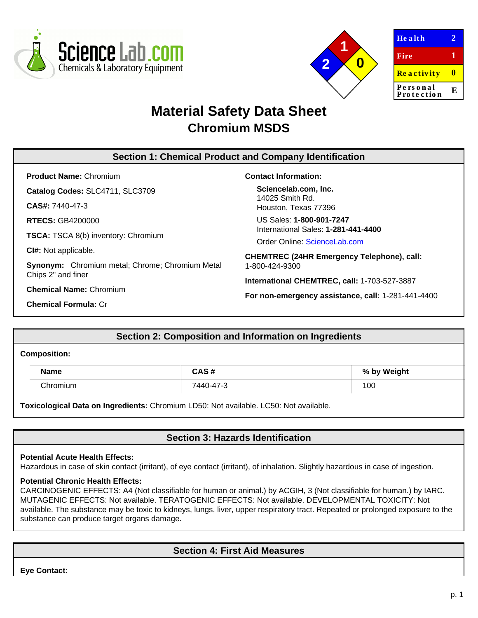



| <b>Health</b>          |   |
|------------------------|---|
| Fire                   | 1 |
| <b>Reactivity</b>      | Ш |
| Personal<br>Protection | E |
|                        |   |

# **Material Safety Data Sheet Chromium MSDS**

# **Section 1: Chemical Product and Company Identification**

**Product Name:** Chromium

**Catalog Codes:** SLC4711, SLC3709

**CAS#:** 7440-47-3

**RTECS:** GB4200000

**TSCA:** TSCA 8(b) inventory: Chromium

**CI#:** Not applicable.

**Synonym:** Chromium metal; Chrome; Chromium Metal Chips 2" and finer

**Chemical Name:** Chromium

**Chemical Formula:** Cr

### **Contact Information:**

**Sciencelab.com, Inc.** 14025 Smith Rd. Houston, Texas 77396

US Sales: **1-800-901-7247** International Sales: **1-281-441-4400**

Order Online: [ScienceLab.com](http://www.sciencelab.com/)

**CHEMTREC (24HR Emergency Telephone), call:** 1-800-424-9300

**International CHEMTREC, call:** 1-703-527-3887

**For non-emergency assistance, call:** 1-281-441-4400

## **Section 2: Composition and Information on Ingredients**

#### **Composition:**

| <b>Name</b> | CAS#      | % by Weight |
|-------------|-----------|-------------|
| Chromium    | 7440-47-3 | 100         |

**Toxicological Data on Ingredients:** Chromium LD50: Not available. LC50: Not available.

# **Section 3: Hazards Identification**

#### **Potential Acute Health Effects:**

Hazardous in case of skin contact (irritant), of eye contact (irritant), of inhalation. Slightly hazardous in case of ingestion.

#### **Potential Chronic Health Effects:**

CARCINOGENIC EFFECTS: A4 (Not classifiable for human or animal.) by ACGIH, 3 (Not classifiable for human.) by IARC. MUTAGENIC EFFECTS: Not available. TERATOGENIC EFFECTS: Not available. DEVELOPMENTAL TOXICITY: Not available. The substance may be toxic to kidneys, lungs, liver, upper respiratory tract. Repeated or prolonged exposure to the substance can produce target organs damage.

# **Section 4: First Aid Measures**

**Eye Contact:**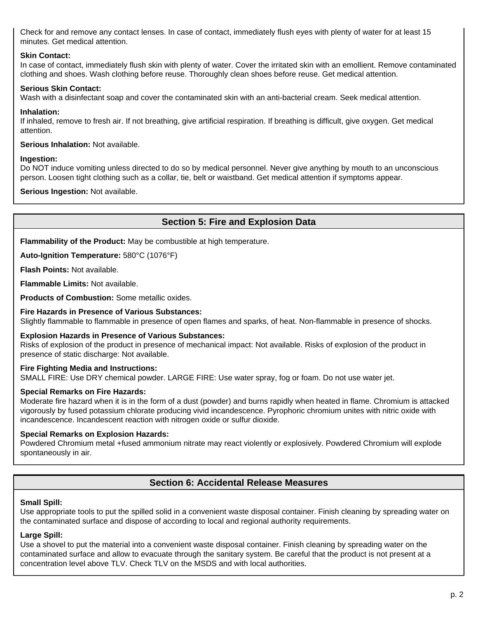Check for and remove any contact lenses. In case of contact, immediately flush eyes with plenty of water for at least 15 minutes. Get medical attention.

### **Skin Contact:**

In case of contact, immediately flush skin with plenty of water. Cover the irritated skin with an emollient. Remove contaminated clothing and shoes. Wash clothing before reuse. Thoroughly clean shoes before reuse. Get medical attention.

### **Serious Skin Contact:**

Wash with a disinfectant soap and cover the contaminated skin with an anti-bacterial cream. Seek medical attention.

#### **Inhalation:**

If inhaled, remove to fresh air. If not breathing, give artificial respiration. If breathing is difficult, give oxygen. Get medical attention.

#### **Serious Inhalation:** Not available.

#### **Ingestion:**

Do NOT induce vomiting unless directed to do so by medical personnel. Never give anything by mouth to an unconscious person. Loosen tight clothing such as a collar, tie, belt or waistband. Get medical attention if symptoms appear.

**Serious Ingestion:** Not available.

# **Section 5: Fire and Explosion Data**

**Flammability of the Product:** May be combustible at high temperature.

**Auto-Ignition Temperature:** 580°C (1076°F)

**Flash Points:** Not available.

**Flammable Limits:** Not available.

**Products of Combustion:** Some metallic oxides.

#### **Fire Hazards in Presence of Various Substances:**

Slightly flammable to flammable in presence of open flames and sparks, of heat. Non-flammable in presence of shocks.

#### **Explosion Hazards in Presence of Various Substances:**

Risks of explosion of the product in presence of mechanical impact: Not available. Risks of explosion of the product in presence of static discharge: Not available.

#### **Fire Fighting Media and Instructions:**

SMALL FIRE: Use DRY chemical powder. LARGE FIRE: Use water spray, fog or foam. Do not use water jet.

#### **Special Remarks on Fire Hazards:**

Moderate fire hazard when it is in the form of a dust (powder) and burns rapidly when heated in flame. Chromium is attacked vigorously by fused potassium chlorate producing vivid incandescence. Pyrophoric chromium unites with nitric oxide with incandescence. Incandescent reaction with nitrogen oxide or sulfur dioxide.

#### **Special Remarks on Explosion Hazards:**

Powdered Chromium metal +fused ammonium nitrate may react violently or explosively. Powdered Chromium will explode spontaneously in air.

# **Section 6: Accidental Release Measures**

#### **Small Spill:**

Use appropriate tools to put the spilled solid in a convenient waste disposal container. Finish cleaning by spreading water on the contaminated surface and dispose of according to local and regional authority requirements.

#### **Large Spill:**

Use a shovel to put the material into a convenient waste disposal container. Finish cleaning by spreading water on the contaminated surface and allow to evacuate through the sanitary system. Be careful that the product is not present at a concentration level above TLV. Check TLV on the MSDS and with local authorities.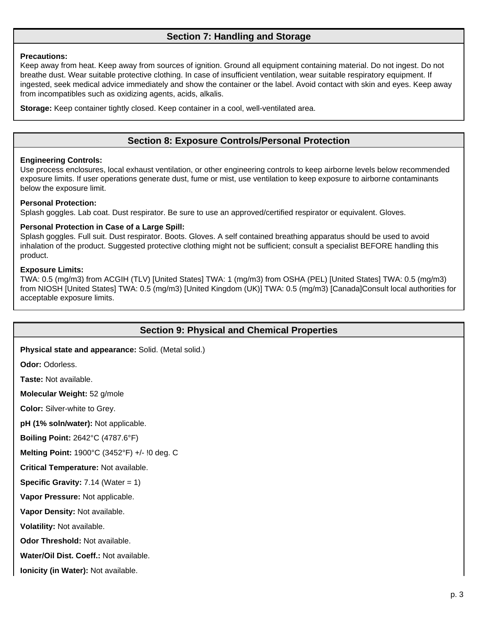# **Section 7: Handling and Storage**

#### **Precautions:**

Keep away from heat. Keep away from sources of ignition. Ground all equipment containing material. Do not ingest. Do not breathe dust. Wear suitable protective clothing. In case of insufficient ventilation, wear suitable respiratory equipment. If ingested, seek medical advice immediately and show the container or the label. Avoid contact with skin and eyes. Keep away from incompatibles such as oxidizing agents, acids, alkalis.

**Storage:** Keep container tightly closed. Keep container in a cool, well-ventilated area.

# **Section 8: Exposure Controls/Personal Protection**

#### **Engineering Controls:**

Use process enclosures, local exhaust ventilation, or other engineering controls to keep airborne levels below recommended exposure limits. If user operations generate dust, fume or mist, use ventilation to keep exposure to airborne contaminants below the exposure limit.

#### **Personal Protection:**

Splash goggles. Lab coat. Dust respirator. Be sure to use an approved/certified respirator or equivalent. Gloves.

#### **Personal Protection in Case of a Large Spill:**

Splash goggles. Full suit. Dust respirator. Boots. Gloves. A self contained breathing apparatus should be used to avoid inhalation of the product. Suggested protective clothing might not be sufficient; consult a specialist BEFORE handling this product.

#### **Exposure Limits:**

TWA: 0.5 (mg/m3) from ACGIH (TLV) [United States] TWA: 1 (mg/m3) from OSHA (PEL) [United States] TWA: 0.5 (mg/m3) from NIOSH [United States] TWA: 0.5 (mg/m3) [United Kingdom (UK)] TWA: 0.5 (mg/m3) [Canada]Consult local authorities for acceptable exposure limits.

## **Section 9: Physical and Chemical Properties**

**Physical state and appearance:** Solid. (Metal solid.)

**Odor:** Odorless.

**Taste:** Not available.

**Molecular Weight:** 52 g/mole

**Color:** Silver-white to Grey.

**pH (1% soln/water):** Not applicable.

**Boiling Point:** 2642°C (4787.6°F)

**Melting Point:** 1900°C (3452°F) +/- !0 deg. C

**Critical Temperature:** Not available.

**Specific Gravity:** 7.14 (Water = 1)

**Vapor Pressure:** Not applicable.

**Vapor Density:** Not available.

**Volatility:** Not available.

**Odor Threshold:** Not available.

**Water/Oil Dist. Coeff.:** Not available.

**Ionicity (in Water):** Not available.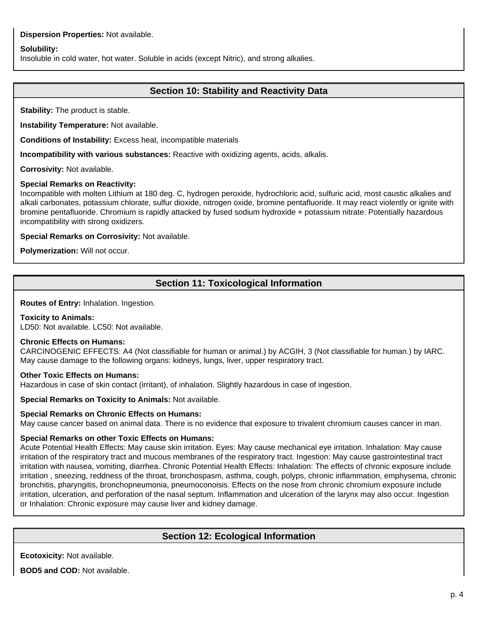#### **Dispersion Properties:** Not available.

#### **Solubility:**

Insoluble in cold water, hot water. Soluble in acids (except Nitric), and strong alkalies.

# **Section 10: Stability and Reactivity Data**

**Stability:** The product is stable.

**Instability Temperature:** Not available.

**Conditions of Instability:** Excess heat, incompatible materials

**Incompatibility with various substances:** Reactive with oxidizing agents, acids, alkalis.

**Corrosivity:** Not available.

#### **Special Remarks on Reactivity:**

Incompatible with molten Lithium at 180 deg. C, hydrogen peroxide, hydrochloric acid, sulfuric acid, most caustic alkalies and alkali carbonates, potassium chlorate, sulfur dioxide, nitrogen oxide, bromine pentafluoride. It may react violently or ignite with bromine pentafluoride. Chromium is rapidly attacked by fused sodium hydroxide + potassium nitrate. Potentially hazardous incompatibility with strong oxidizers.

**Special Remarks on Corrosivity:** Not available.

**Polymerization:** Will not occur.

# **Section 11: Toxicological Information**

**Routes of Entry:** Inhalation. Ingestion.

#### **Toxicity to Animals:**

LD50: Not available. LC50: Not available.

#### **Chronic Effects on Humans:**

CARCINOGENIC EFFECTS: A4 (Not classifiable for human or animal.) by ACGIH, 3 (Not classifiable for human.) by IARC. May cause damage to the following organs: kidneys, lungs, liver, upper respiratory tract.

#### **Other Toxic Effects on Humans:**

Hazardous in case of skin contact (irritant), of inhalation. Slightly hazardous in case of ingestion.

**Special Remarks on Toxicity to Animals:** Not available.

#### **Special Remarks on Chronic Effects on Humans:**

May cause cancer based on animal data. There is no evidence that exposure to trivalent chromium causes cancer in man.

#### **Special Remarks on other Toxic Effects on Humans:**

Acute Potential Health Effects: May cause skin irritation. Eyes: May cause mechanical eye irritation. Inhalation: May cause irritation of the respiratory tract and mucous membranes of the respiratory tract. Ingestion: May cause gastrointestinal tract irritation with nausea, vomiting, diarrhea. Chronic Potential Health Effects: Inhalation: The effects of chronic exposure include irritation , sneezing, reddness of the throat, bronchospasm, asthma, cough, polyps, chronic inflammation, emphysema, chronic bronchitis, pharyngitis, bronchopneumonia, pneumoconoisis. Effects on the nose from chronic chromium exposure include irritation, ulceration, and perforation of the nasal septum. Inflammation and ulceration of the larynx may also occur. Ingestion or Inhalation: Chronic exposure may cause liver and kidney damage.

## **Section 12: Ecological Information**

**Ecotoxicity:** Not available.

**BOD5 and COD:** Not available.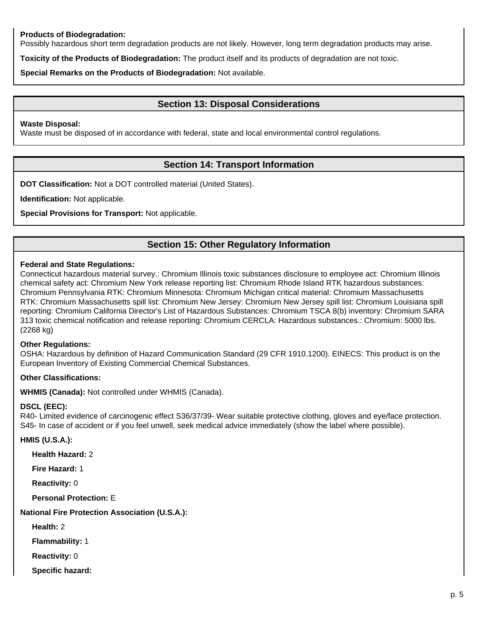### **Products of Biodegradation:**

Possibly hazardous short term degradation products are not likely. However, long term degradation products may arise.

**Toxicity of the Products of Biodegradation:** The product itself and its products of degradation are not toxic.

**Special Remarks on the Products of Biodegradation:** Not available.

# **Section 13: Disposal Considerations**

#### **Waste Disposal:**

Waste must be disposed of in accordance with federal, state and local environmental control regulations.

# **Section 14: Transport Information**

**DOT Classification:** Not a DOT controlled material (United States).

**Identification:** Not applicable.

**Special Provisions for Transport:** Not applicable.

# **Section 15: Other Regulatory Information**

#### **Federal and State Regulations:**

Connecticut hazardous material survey.: Chromium Illinois toxic substances disclosure to employee act: Chromium Illinois chemical safety act: Chromium New York release reporting list: Chromium Rhode Island RTK hazardous substances: Chromium Pennsylvania RTK: Chromium Minnesota: Chromium Michigan critical material: Chromium Massachusetts RTK: Chromium Massachusetts spill list: Chromium New Jersey: Chromium New Jersey spill list: Chromium Louisiana spill reporting: Chromium California Director's List of Hazardous Substances: Chromium TSCA 8(b) inventory: Chromium SARA 313 toxic chemical notification and release reporting: Chromium CERCLA: Hazardous substances.: Chromium: 5000 lbs. (2268 kg)

#### **Other Regulations:**

OSHA: Hazardous by definition of Hazard Communication Standard (29 CFR 1910.1200). EINECS: This product is on the European Inventory of Existing Commercial Chemical Substances.

### **Other Classifications:**

**WHMIS (Canada):** Not controlled under WHMIS (Canada).

#### **DSCL (EEC):**

R40- Limited evidence of carcinogenic effect S36/37/39- Wear suitable protective clothing, gloves and eye/face protection. S45- In case of accident or if you feel unwell, seek medical advice immediately (show the label where possible).

#### **HMIS (U.S.A.):**

**Health Hazard:** 2

**Fire Hazard:** 1

**Reactivity:** 0

**Personal Protection:** E

#### **National Fire Protection Association (U.S.A.):**

**Health:** 2

**Flammability:** 1

**Reactivity:** 0

**Specific hazard:**